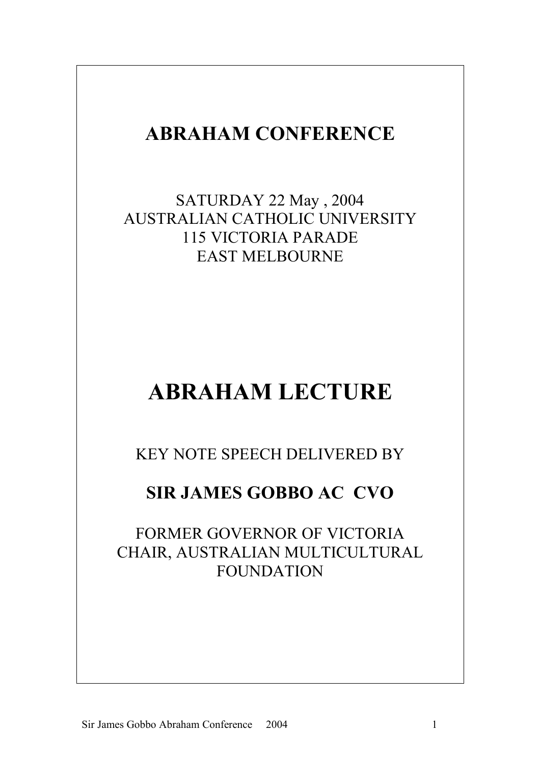## **ABRAHAM CONFERENCE**

SATURDAY 22 May , 2004 AUSTRALIAN CATHOLIC UNIVERSITY 115 VICTORIA PARADE EAST MELBOURNE

## **ABRAHAM LECTURE**

KEY NOTE SPEECH DELIVERED BY

## **SIR JAMES GOBBO AC CVO**

FORMER GOVERNOR OF VICTORIA CHAIR, AUSTRALIAN MULTICULTURAL FOUNDATION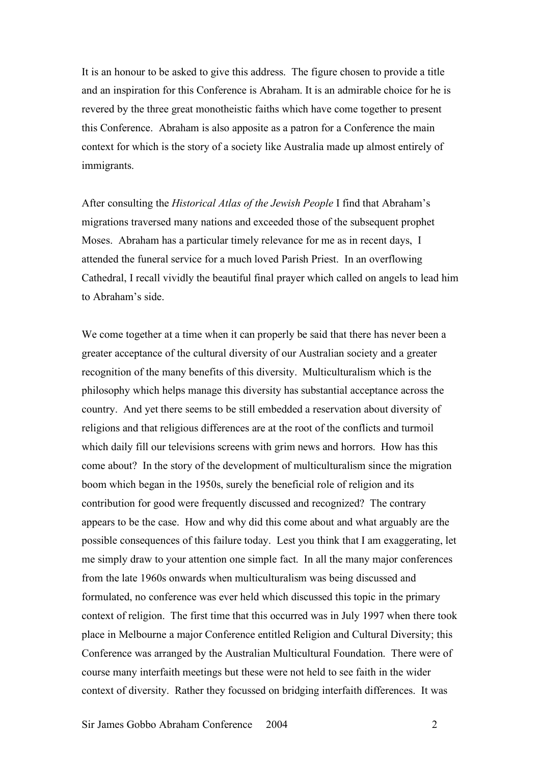It is an honour to be asked to give this address. The figure chosen to provide a title and an inspiration for this Conference is Abraham. It is an admirable choice for he is revered by the three great monotheistic faiths which have come together to present this Conference. Abraham is also apposite as a patron for a Conference the main context for which is the story of a society like Australia made up almost entirely of immigrants.

After consulting the *Historical Atlas of the Jewish People* I find that Abraham's migrations traversed many nations and exceeded those of the subsequent prophet Moses. Abraham has a particular timely relevance for me as in recent days, I attended the funeral service for a much loved Parish Priest. In an overflowing Cathedral, I recall vividly the beautiful final prayer which called on angels to lead him to Abraham's side.

We come together at a time when it can properly be said that there has never been a greater acceptance of the cultural diversity of our Australian society and a greater recognition of the many benefits of this diversity. Multiculturalism which is the philosophy which helps manage this diversity has substantial acceptance across the country. And yet there seems to be still embedded a reservation about diversity of religions and that religious differences are at the root of the conflicts and turmoil which daily fill our televisions screens with grim news and horrors. How has this come about? In the story of the development of multiculturalism since the migration boom which began in the 1950s, surely the beneficial role of religion and its contribution for good were frequently discussed and recognized? The contrary appears to be the case. How and why did this come about and what arguably are the possible consequences of this failure today. Lest you think that I am exaggerating, let me simply draw to your attention one simple fact. In all the many major conferences from the late 1960s onwards when multiculturalism was being discussed and formulated, no conference was ever held which discussed this topic in the primary context of religion. The first time that this occurred was in July 1997 when there took place in Melbourne a major Conference entitled Religion and Cultural Diversity; this Conference was arranged by the Australian Multicultural Foundation. There were of course many interfaith meetings but these were not held to see faith in the wider context of diversity. Rather they focussed on bridging interfaith differences. It was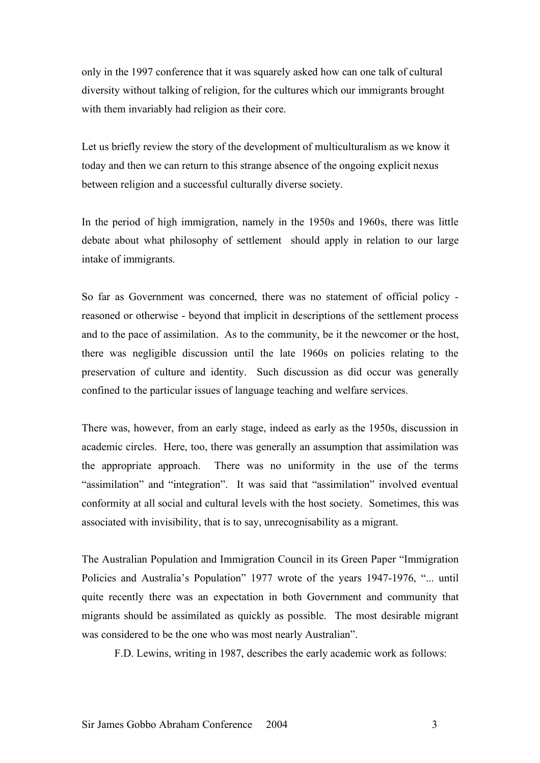only in the 1997 conference that it was squarely asked how can one talk of cultural diversity without talking of religion, for the cultures which our immigrants brought with them invariably had religion as their core.

Let us briefly review the story of the development of multiculturalism as we know it today and then we can return to this strange absence of the ongoing explicit nexus between religion and a successful culturally diverse society.

In the period of high immigration, namely in the 1950s and 1960s, there was little debate about what philosophy of settlement should apply in relation to our large intake of immigrants.

So far as Government was concerned, there was no statement of official policy reasoned or otherwise - beyond that implicit in descriptions of the settlement process and to the pace of assimilation. As to the community, be it the newcomer or the host, there was negligible discussion until the late 1960s on policies relating to the preservation of culture and identity. Such discussion as did occur was generally confined to the particular issues of language teaching and welfare services.

There was, however, from an early stage, indeed as early as the 1950s, discussion in academic circles. Here, too, there was generally an assumption that assimilation was the appropriate approach. There was no uniformity in the use of the terms "assimilation" and "integration". It was said that "assimilation" involved eventual conformity at all social and cultural levels with the host society. Sometimes, this was associated with invisibility, that is to say, unrecognisability as a migrant.

The Australian Population and Immigration Council in its Green Paper "Immigration Policies and Australia's Population" 1977 wrote of the years 1947-1976, "... until quite recently there was an expectation in both Government and community that migrants should be assimilated as quickly as possible. The most desirable migrant was considered to be the one who was most nearly Australian".

F.D. Lewins, writing in 1987, describes the early academic work as follows: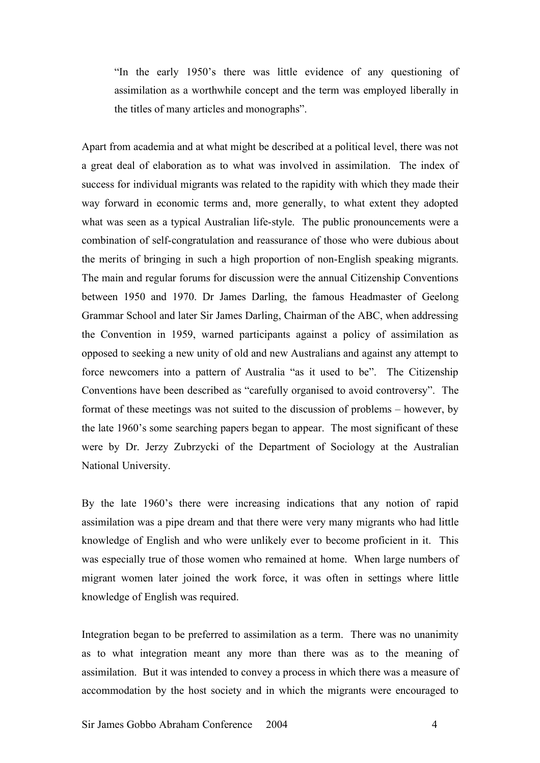"In the early 1950's there was little evidence of any questioning of assimilation as a worthwhile concept and the term was employed liberally in the titles of many articles and monographs".

Apart from academia and at what might be described at a political level, there was not a great deal of elaboration as to what was involved in assimilation. The index of success for individual migrants was related to the rapidity with which they made their way forward in economic terms and, more generally, to what extent they adopted what was seen as a typical Australian life-style. The public pronouncements were a combination of self-congratulation and reassurance of those who were dubious about the merits of bringing in such a high proportion of non-English speaking migrants. The main and regular forums for discussion were the annual Citizenship Conventions between 1950 and 1970. Dr James Darling, the famous Headmaster of Geelong Grammar School and later Sir James Darling, Chairman of the ABC, when addressing the Convention in 1959, warned participants against a policy of assimilation as opposed to seeking a new unity of old and new Australians and against any attempt to force newcomers into a pattern of Australia "as it used to be". The Citizenship Conventions have been described as "carefully organised to avoid controversy". The format of these meetings was not suited to the discussion of problems – however, by the late 1960's some searching papers began to appear. The most significant of these were by Dr. Jerzy Zubrzycki of the Department of Sociology at the Australian National University.

By the late 1960's there were increasing indications that any notion of rapid assimilation was a pipe dream and that there were very many migrants who had little knowledge of English and who were unlikely ever to become proficient in it. This was especially true of those women who remained at home. When large numbers of migrant women later joined the work force, it was often in settings where little knowledge of English was required.

Integration began to be preferred to assimilation as a term. There was no unanimity as to what integration meant any more than there was as to the meaning of assimilation. But it was intended to convey a process in which there was a measure of accommodation by the host society and in which the migrants were encouraged to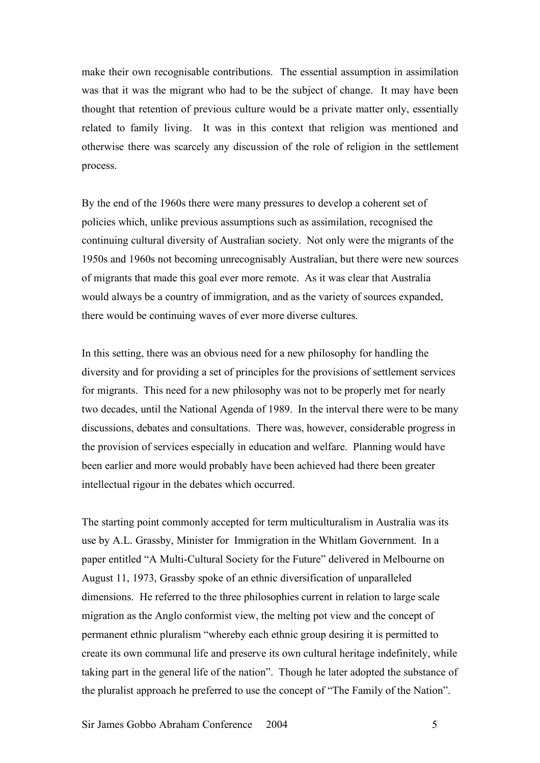make their own recognisable contributions. The essential assumption in assimilation was that it was the migrant who had to be the subject of change. It may have been thought that retention of previous culture would be a private matter only, essentially related to family living. It was in this context that religion was mentioned and otherwise there was scarcely any discussion of the role of religion in the settlement process.

By the end of the 1960s there were many pressures to develop a coherent set of policies which, unlike previous assumptions such as assimilation, recognised the continuing cultural diversity of Australian society. Not only were the migrants of the 1950s and 1960s not becoming unrecognisably Australian, but there were new sources of migrants that made this goal ever more remote. As it was clear that Australia would always be a country of immigration, and as the variety of sources expanded, there would be continuing waves of ever more diverse cultures.

In this setting, there was an obvious need for a new philosophy for handling the diversity and for providing a set of principles for the provisions of settlement services for migrants. This need for a new philosophy was not to be properly met for nearly two decades, until the National Agenda of 1989. In the interval there were to be many discussions, debates and consultations. There was, however, considerable progress in the provision of services especially in education and welfare. Planning would have been earlier and more would probably have been achieved had there been greater intellectual rigour in the debates which occurred.

The starting point commonly accepted for term multiculturalism in Australia was its use by A.L. Grassby, Minister for Immigration in the Whitlam Government. In a paper entitled "A Multi-Cultural Society for the Future" delivered in Melbourne on August 11, 1973, Grassby spoke of an ethnic diversification of unparalleled dimensions. He referred to the three philosophies current in relation to large scale migration as the Anglo conformist view, the melting pot view and the concept of permanent ethnic pluralism "whereby each ethnic group desiring it is permitted to create its own communal life and preserve its own cultural heritage indefinitely, while taking part in the general life of the nation". Though he later adopted the substance of the pluralist approach he preferred to use the concept of "The Family of the Nation".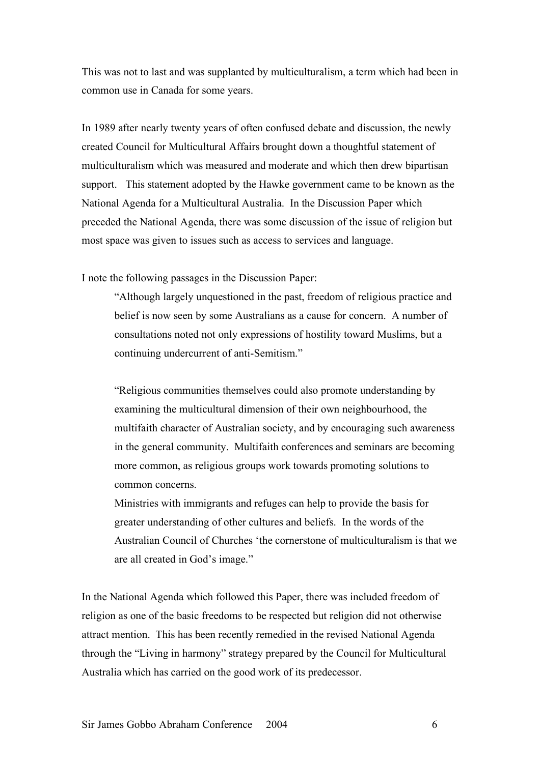This was not to last and was supplanted by multiculturalism, a term which had been in common use in Canada for some years.

In 1989 after nearly twenty years of often confused debate and discussion, the newly created Council for Multicultural Affairs brought down a thoughtful statement of multiculturalism which was measured and moderate and which then drew bipartisan support. This statement adopted by the Hawke government came to be known as the National Agenda for a Multicultural Australia. In the Discussion Paper which preceded the National Agenda, there was some discussion of the issue of religion but most space was given to issues such as access to services and language.

I note the following passages in the Discussion Paper:

"Although largely unquestioned in the past, freedom of religious practice and belief is now seen by some Australians as a cause for concern. A number of consultations noted not only expressions of hostility toward Muslims, but a continuing undercurrent of anti-Semitism."

"Religious communities themselves could also promote understanding by examining the multicultural dimension of their own neighbourhood, the multifaith character of Australian society, and by encouraging such awareness in the general community. Multifaith conferences and seminars are becoming more common, as religious groups work towards promoting solutions to common concerns.

Ministries with immigrants and refuges can help to provide the basis for greater understanding of other cultures and beliefs. In the words of the Australian Council of Churches 'the cornerstone of multiculturalism is that we are all created in God's image."

In the National Agenda which followed this Paper, there was included freedom of religion as one of the basic freedoms to be respected but religion did not otherwise attract mention. This has been recently remedied in the revised National Agenda through the "Living in harmony" strategy prepared by the Council for Multicultural Australia which has carried on the good work of its predecessor.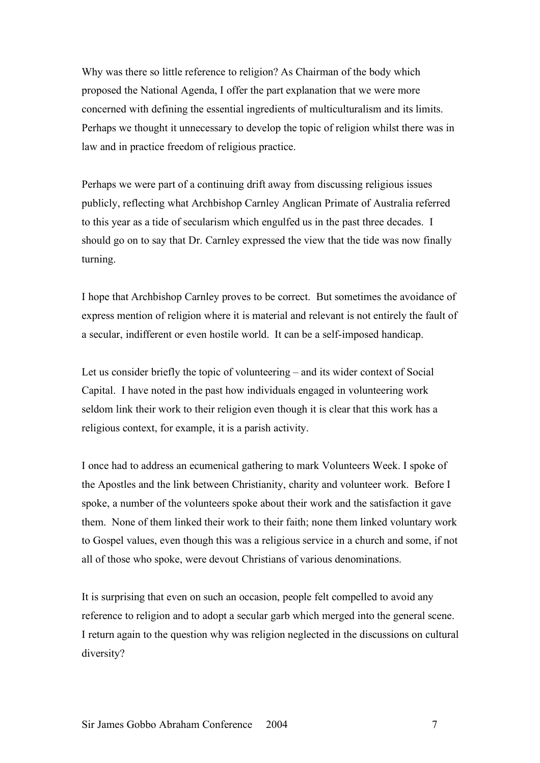Why was there so little reference to religion? As Chairman of the body which proposed the National Agenda, I offer the part explanation that we were more concerned with defining the essential ingredients of multiculturalism and its limits. Perhaps we thought it unnecessary to develop the topic of religion whilst there was in law and in practice freedom of religious practice.

Perhaps we were part of a continuing drift away from discussing religious issues publicly, reflecting what Archbishop Carnley Anglican Primate of Australia referred to this year as a tide of secularism which engulfed us in the past three decades. I should go on to say that Dr. Carnley expressed the view that the tide was now finally turning.

I hope that Archbishop Carnley proves to be correct. But sometimes the avoidance of express mention of religion where it is material and relevant is not entirely the fault of a secular, indifferent or even hostile world. It can be a self-imposed handicap.

Let us consider briefly the topic of volunteering – and its wider context of Social Capital. I have noted in the past how individuals engaged in volunteering work seldom link their work to their religion even though it is clear that this work has a religious context, for example, it is a parish activity.

I once had to address an ecumenical gathering to mark Volunteers Week. I spoke of the Apostles and the link between Christianity, charity and volunteer work. Before I spoke, a number of the volunteers spoke about their work and the satisfaction it gave them. None of them linked their work to their faith; none them linked voluntary work to Gospel values, even though this was a religious service in a church and some, if not all of those who spoke, were devout Christians of various denominations.

It is surprising that even on such an occasion, people felt compelled to avoid any reference to religion and to adopt a secular garb which merged into the general scene. I return again to the question why was religion neglected in the discussions on cultural diversity?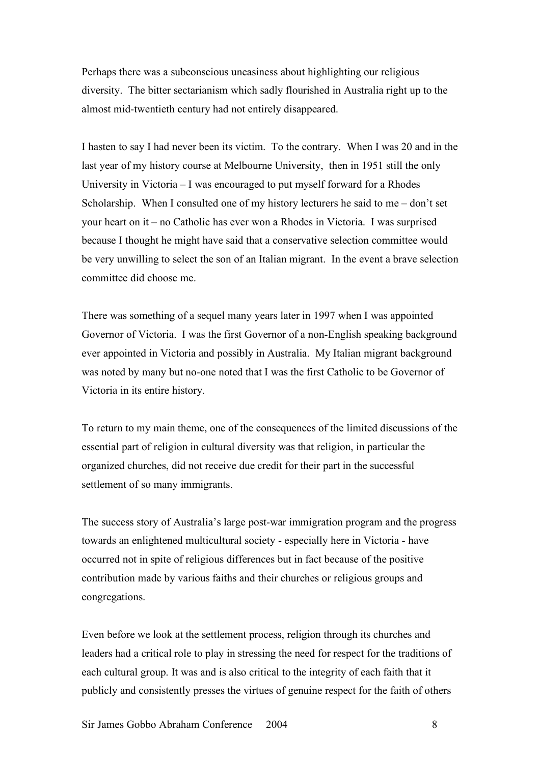Perhaps there was a subconscious uneasiness about highlighting our religious diversity. The bitter sectarianism which sadly flourished in Australia right up to the almost mid-twentieth century had not entirely disappeared.

I hasten to say I had never been its victim. To the contrary. When I was 20 and in the last year of my history course at Melbourne University, then in 1951 still the only University in Victoria – I was encouraged to put myself forward for a Rhodes Scholarship. When I consulted one of my history lecturers he said to me – don't set your heart on it – no Catholic has ever won a Rhodes in Victoria. I was surprised because I thought he might have said that a conservative selection committee would be very unwilling to select the son of an Italian migrant. In the event a brave selection committee did choose me.

There was something of a sequel many years later in 1997 when I was appointed Governor of Victoria. I was the first Governor of a non-English speaking background ever appointed in Victoria and possibly in Australia. My Italian migrant background was noted by many but no-one noted that I was the first Catholic to be Governor of Victoria in its entire history.

To return to my main theme, one of the consequences of the limited discussions of the essential part of religion in cultural diversity was that religion, in particular the organized churches, did not receive due credit for their part in the successful settlement of so many immigrants.

The success story of Australia's large post-war immigration program and the progress towards an enlightened multicultural society - especially here in Victoria - have occurred not in spite of religious differences but in fact because of the positive contribution made by various faiths and their churches or religious groups and congregations.

Even before we look at the settlement process, religion through its churches and leaders had a critical role to play in stressing the need for respect for the traditions of each cultural group. It was and is also critical to the integrity of each faith that it publicly and consistently presses the virtues of genuine respect for the faith of others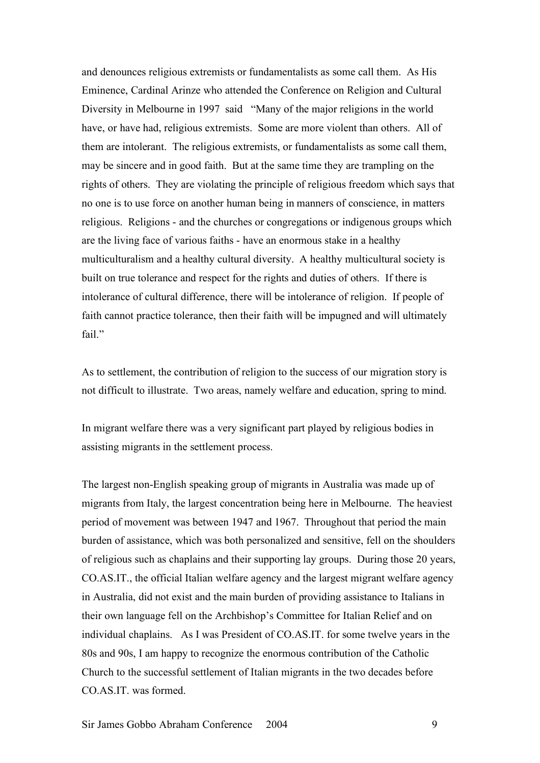and denounces religious extremists or fundamentalists as some call them. As His Eminence, Cardinal Arinze who attended the Conference on Religion and Cultural Diversity in Melbourne in 1997 said "Many of the major religions in the world have, or have had, religious extremists. Some are more violent than others. All of them are intolerant. The religious extremists, or fundamentalists as some call them, may be sincere and in good faith. But at the same time they are trampling on the rights of others. They are violating the principle of religious freedom which says that no one is to use force on another human being in manners of conscience, in matters religious. Religions - and the churches or congregations or indigenous groups which are the living face of various faiths - have an enormous stake in a healthy multiculturalism and a healthy cultural diversity. A healthy multicultural society is built on true tolerance and respect for the rights and duties of others. If there is intolerance of cultural difference, there will be intolerance of religion. If people of faith cannot practice tolerance, then their faith will be impugned and will ultimately fail."

As to settlement, the contribution of religion to the success of our migration story is not difficult to illustrate. Two areas, namely welfare and education, spring to mind.

In migrant welfare there was a very significant part played by religious bodies in assisting migrants in the settlement process.

The largest non-English speaking group of migrants in Australia was made up of migrants from Italy, the largest concentration being here in Melbourne. The heaviest period of movement was between 1947 and 1967. Throughout that period the main burden of assistance, which was both personalized and sensitive, fell on the shoulders of religious such as chaplains and their supporting lay groups. During those 20 years, CO.AS.IT., the official Italian welfare agency and the largest migrant welfare agency in Australia, did not exist and the main burden of providing assistance to Italians in their own language fell on the Archbishop's Committee for Italian Relief and on individual chaplains. As I was President of CO.AS.IT. for some twelve years in the 80s and 90s, I am happy to recognize the enormous contribution of the Catholic Church to the successful settlement of Italian migrants in the two decades before CO.AS.IT. was formed.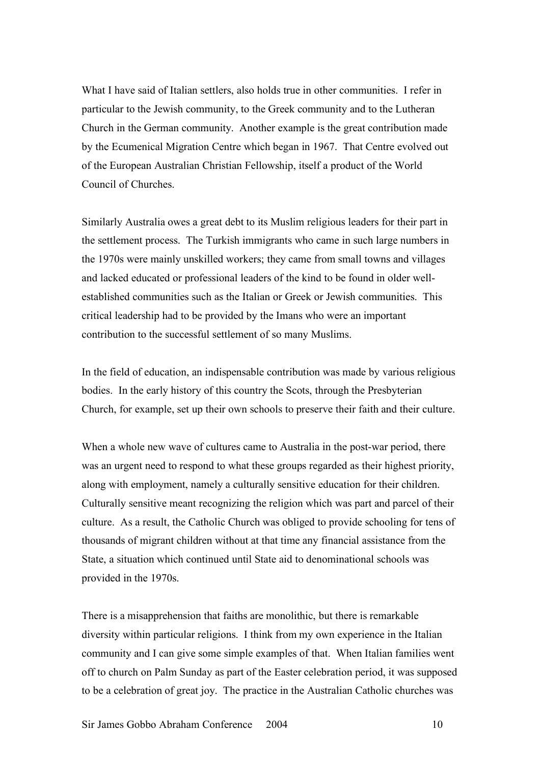What I have said of Italian settlers, also holds true in other communities. I refer in particular to the Jewish community, to the Greek community and to the Lutheran Church in the German community. Another example is the great contribution made by the Ecumenical Migration Centre which began in 1967. That Centre evolved out of the European Australian Christian Fellowship, itself a product of the World Council of Churches.

Similarly Australia owes a great debt to its Muslim religious leaders for their part in the settlement process. The Turkish immigrants who came in such large numbers in the 1970s were mainly unskilled workers; they came from small towns and villages and lacked educated or professional leaders of the kind to be found in older wellestablished communities such as the Italian or Greek or Jewish communities. This critical leadership had to be provided by the Imans who were an important contribution to the successful settlement of so many Muslims.

In the field of education, an indispensable contribution was made by various religious bodies. In the early history of this country the Scots, through the Presbyterian Church, for example, set up their own schools to preserve their faith and their culture.

When a whole new wave of cultures came to Australia in the post-war period, there was an urgent need to respond to what these groups regarded as their highest priority, along with employment, namely a culturally sensitive education for their children. Culturally sensitive meant recognizing the religion which was part and parcel of their culture. As a result, the Catholic Church was obliged to provide schooling for tens of thousands of migrant children without at that time any financial assistance from the State, a situation which continued until State aid to denominational schools was provided in the 1970s.

There is a misapprehension that faiths are monolithic, but there is remarkable diversity within particular religions. I think from my own experience in the Italian community and I can give some simple examples of that. When Italian families went off to church on Palm Sunday as part of the Easter celebration period, it was supposed to be a celebration of great joy. The practice in the Australian Catholic churches was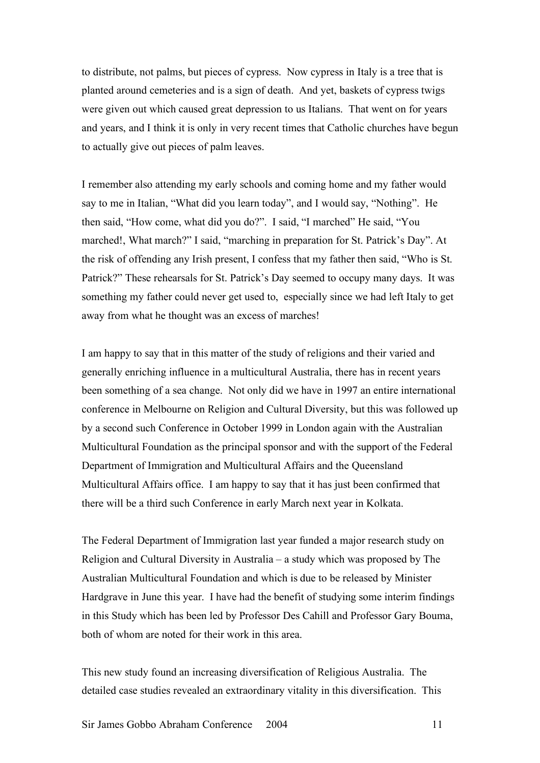to distribute, not palms, but pieces of cypress. Now cypress in Italy is a tree that is planted around cemeteries and is a sign of death. And yet, baskets of cypress twigs were given out which caused great depression to us Italians. That went on for years and years, and I think it is only in very recent times that Catholic churches have begun to actually give out pieces of palm leaves.

I remember also attending my early schools and coming home and my father would say to me in Italian, "What did you learn today", and I would say, "Nothing". He then said, "How come, what did you do?". I said, "I marched" He said, "You marched!, What march?" I said, "marching in preparation for St. Patrick's Day". At the risk of offending any Irish present, I confess that my father then said, "Who is St. Patrick?" These rehearsals for St. Patrick's Day seemed to occupy many days. It was something my father could never get used to, especially since we had left Italy to get away from what he thought was an excess of marches!

I am happy to say that in this matter of the study of religions and their varied and generally enriching influence in a multicultural Australia, there has in recent years been something of a sea change. Not only did we have in 1997 an entire international conference in Melbourne on Religion and Cultural Diversity, but this was followed up by a second such Conference in October 1999 in London again with the Australian Multicultural Foundation as the principal sponsor and with the support of the Federal Department of Immigration and Multicultural Affairs and the Queensland Multicultural Affairs office. I am happy to say that it has just been confirmed that there will be a third such Conference in early March next year in Kolkata.

The Federal Department of Immigration last year funded a major research study on Religion and Cultural Diversity in Australia – a study which was proposed by The Australian Multicultural Foundation and which is due to be released by Minister Hardgrave in June this year. I have had the benefit of studying some interim findings in this Study which has been led by Professor Des Cahill and Professor Gary Bouma, both of whom are noted for their work in this area.

This new study found an increasing diversification of Religious Australia. The detailed case studies revealed an extraordinary vitality in this diversification. This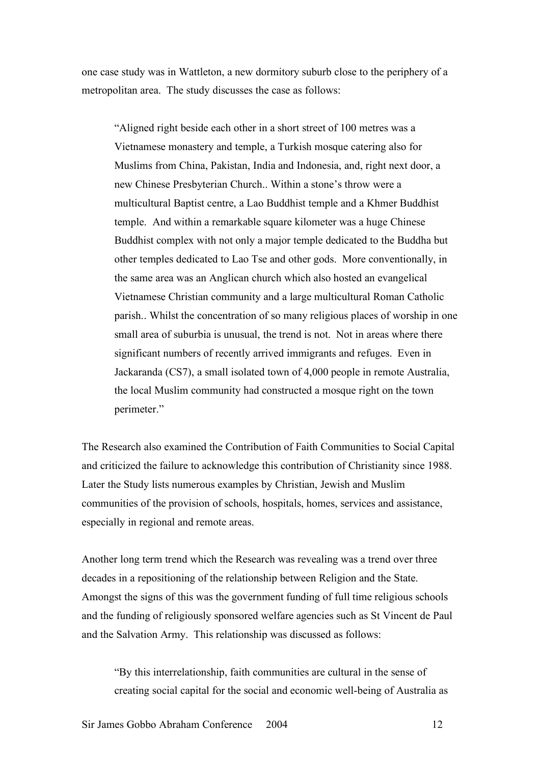one case study was in Wattleton, a new dormitory suburb close to the periphery of a metropolitan area. The study discusses the case as follows:

"Aligned right beside each other in a short street of 100 metres was a Vietnamese monastery and temple, a Turkish mosque catering also for Muslims from China, Pakistan, India and Indonesia, and, right next door, a new Chinese Presbyterian Church.. Within a stone's throw were a multicultural Baptist centre, a Lao Buddhist temple and a Khmer Buddhist temple. And within a remarkable square kilometer was a huge Chinese Buddhist complex with not only a major temple dedicated to the Buddha but other temples dedicated to Lao Tse and other gods. More conventionally, in the same area was an Anglican church which also hosted an evangelical Vietnamese Christian community and a large multicultural Roman Catholic parish.. Whilst the concentration of so many religious places of worship in one small area of suburbia is unusual, the trend is not. Not in areas where there significant numbers of recently arrived immigrants and refuges. Even in Jackaranda (CS7), a small isolated town of 4,000 people in remote Australia, the local Muslim community had constructed a mosque right on the town perimeter."

The Research also examined the Contribution of Faith Communities to Social Capital and criticized the failure to acknowledge this contribution of Christianity since 1988. Later the Study lists numerous examples by Christian, Jewish and Muslim communities of the provision of schools, hospitals, homes, services and assistance, especially in regional and remote areas.

Another long term trend which the Research was revealing was a trend over three decades in a repositioning of the relationship between Religion and the State. Amongst the signs of this was the government funding of full time religious schools and the funding of religiously sponsored welfare agencies such as St Vincent de Paul and the Salvation Army. This relationship was discussed as follows:

"By this interrelationship, faith communities are cultural in the sense of creating social capital for the social and economic well-being of Australia as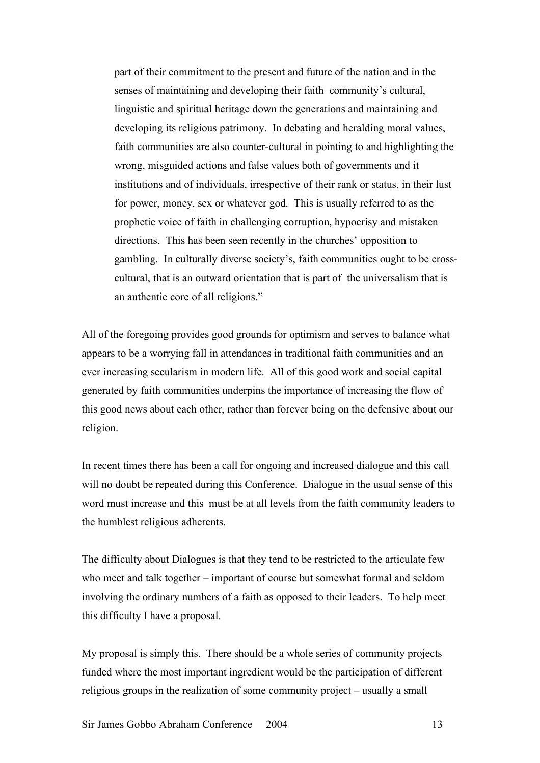part of their commitment to the present and future of the nation and in the senses of maintaining and developing their faith community's cultural, linguistic and spiritual heritage down the generations and maintaining and developing its religious patrimony. In debating and heralding moral values, faith communities are also counter-cultural in pointing to and highlighting the wrong, misguided actions and false values both of governments and it institutions and of individuals, irrespective of their rank or status, in their lust for power, money, sex or whatever god. This is usually referred to as the prophetic voice of faith in challenging corruption, hypocrisy and mistaken directions. This has been seen recently in the churches' opposition to gambling. In culturally diverse society's, faith communities ought to be crosscultural, that is an outward orientation that is part of the universalism that is an authentic core of all religions."

All of the foregoing provides good grounds for optimism and serves to balance what appears to be a worrying fall in attendances in traditional faith communities and an ever increasing secularism in modern life. All of this good work and social capital generated by faith communities underpins the importance of increasing the flow of this good news about each other, rather than forever being on the defensive about our religion.

In recent times there has been a call for ongoing and increased dialogue and this call will no doubt be repeated during this Conference. Dialogue in the usual sense of this word must increase and this must be at all levels from the faith community leaders to the humblest religious adherents.

The difficulty about Dialogues is that they tend to be restricted to the articulate few who meet and talk together – important of course but somewhat formal and seldom involving the ordinary numbers of a faith as opposed to their leaders. To help meet this difficulty I have a proposal.

My proposal is simply this. There should be a whole series of community projects funded where the most important ingredient would be the participation of different religious groups in the realization of some community project – usually a small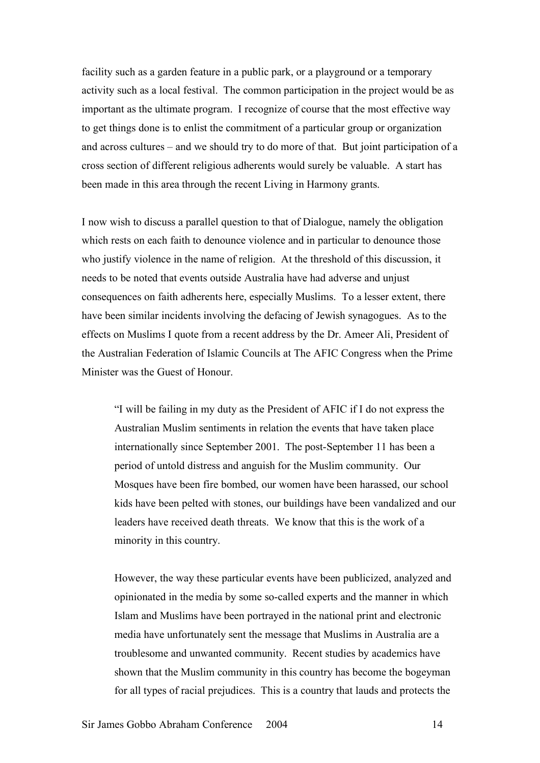facility such as a garden feature in a public park, or a playground or a temporary activity such as a local festival. The common participation in the project would be as important as the ultimate program. I recognize of course that the most effective way to get things done is to enlist the commitment of a particular group or organization and across cultures – and we should try to do more of that. But joint participation of a cross section of different religious adherents would surely be valuable. A start has been made in this area through the recent Living in Harmony grants.

I now wish to discuss a parallel question to that of Dialogue, namely the obligation which rests on each faith to denounce violence and in particular to denounce those who justify violence in the name of religion. At the threshold of this discussion, it needs to be noted that events outside Australia have had adverse and unjust consequences on faith adherents here, especially Muslims. To a lesser extent, there have been similar incidents involving the defacing of Jewish synagogues. As to the effects on Muslims I quote from a recent address by the Dr. Ameer Ali, President of the Australian Federation of Islamic Councils at The AFIC Congress when the Prime Minister was the Guest of Honour.

"I will be failing in my duty as the President of AFIC if I do not express the Australian Muslim sentiments in relation the events that have taken place internationally since September 2001. The post-September 11 has been a period of untold distress and anguish for the Muslim community. Our Mosques have been fire bombed, our women have been harassed, our school kids have been pelted with stones, our buildings have been vandalized and our leaders have received death threats. We know that this is the work of a minority in this country.

However, the way these particular events have been publicized, analyzed and opinionated in the media by some so-called experts and the manner in which Islam and Muslims have been portrayed in the national print and electronic media have unfortunately sent the message that Muslims in Australia are a troublesome and unwanted community. Recent studies by academics have shown that the Muslim community in this country has become the bogeyman for all types of racial prejudices. This is a country that lauds and protects the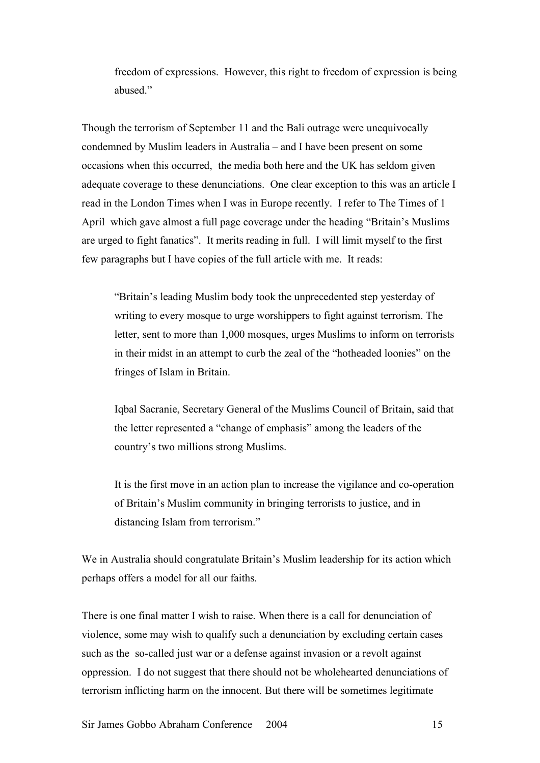freedom of expressions. However, this right to freedom of expression is being abused."

Though the terrorism of September 11 and the Bali outrage were unequivocally condemned by Muslim leaders in Australia – and I have been present on some occasions when this occurred, the media both here and the UK has seldom given adequate coverage to these denunciations. One clear exception to this was an article I read in the London Times when I was in Europe recently. I refer to The Times of 1 April which gave almost a full page coverage under the heading "Britain's Muslims are urged to fight fanatics". It merits reading in full. I will limit myself to the first few paragraphs but I have copies of the full article with me. It reads:

"Britain's leading Muslim body took the unprecedented step yesterday of writing to every mosque to urge worshippers to fight against terrorism. The letter, sent to more than 1,000 mosques, urges Muslims to inform on terrorists in their midst in an attempt to curb the zeal of the "hotheaded loonies" on the fringes of Islam in Britain.

Iqbal Sacranie, Secretary General of the Muslims Council of Britain, said that the letter represented a "change of emphasis" among the leaders of the country's two millions strong Muslims.

It is the first move in an action plan to increase the vigilance and co-operation of Britain's Muslim community in bringing terrorists to justice, and in distancing Islam from terrorism."

We in Australia should congratulate Britain's Muslim leadership for its action which perhaps offers a model for all our faiths.

There is one final matter I wish to raise. When there is a call for denunciation of violence, some may wish to qualify such a denunciation by excluding certain cases such as the so-called just war or a defense against invasion or a revolt against oppression. I do not suggest that there should not be wholehearted denunciations of terrorism inflicting harm on the innocent. But there will be sometimes legitimate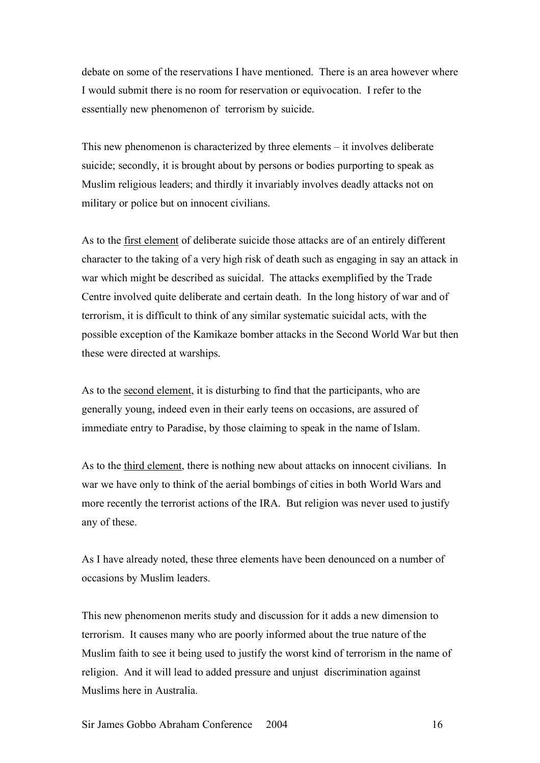debate on some of the reservations I have mentioned. There is an area however where I would submit there is no room for reservation or equivocation. I refer to the essentially new phenomenon of terrorism by suicide.

This new phenomenon is characterized by three elements – it involves deliberate suicide; secondly, it is brought about by persons or bodies purporting to speak as Muslim religious leaders; and thirdly it invariably involves deadly attacks not on military or police but on innocent civilians.

As to the first element of deliberate suicide those attacks are of an entirely different character to the taking of a very high risk of death such as engaging in say an attack in war which might be described as suicidal. The attacks exemplified by the Trade Centre involved quite deliberate and certain death. In the long history of war and of terrorism, it is difficult to think of any similar systematic suicidal acts, with the possible exception of the Kamikaze bomber attacks in the Second World War but then these were directed at warships.

As to the second element, it is disturbing to find that the participants, who are generally young, indeed even in their early teens on occasions, are assured of immediate entry to Paradise, by those claiming to speak in the name of Islam.

As to the third element, there is nothing new about attacks on innocent civilians. In war we have only to think of the aerial bombings of cities in both World Wars and more recently the terrorist actions of the IRA. But religion was never used to justify any of these.

As I have already noted, these three elements have been denounced on a number of occasions by Muslim leaders.

This new phenomenon merits study and discussion for it adds a new dimension to terrorism. It causes many who are poorly informed about the true nature of the Muslim faith to see it being used to justify the worst kind of terrorism in the name of religion. And it will lead to added pressure and unjust discrimination against Muslims here in Australia.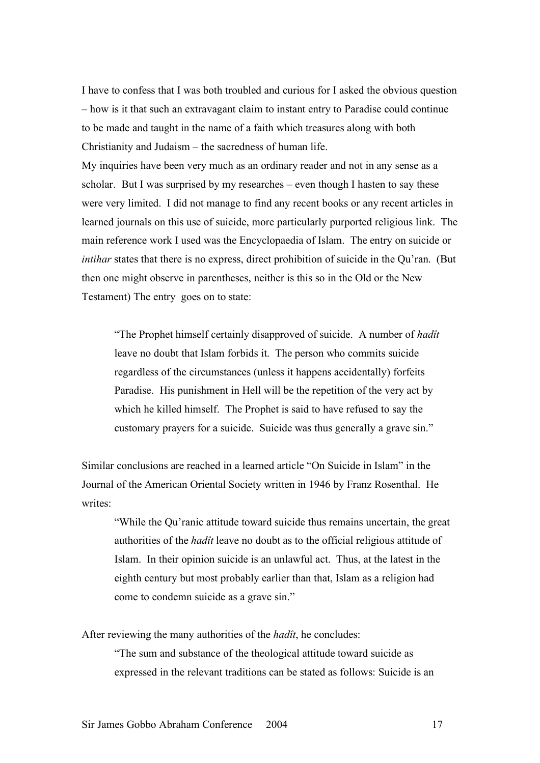I have to confess that I was both troubled and curious for I asked the obvious question – how is it that such an extravagant claim to instant entry to Paradise could continue to be made and taught in the name of a faith which treasures along with both Christianity and Judaism – the sacredness of human life.

My inquiries have been very much as an ordinary reader and not in any sense as a scholar. But I was surprised by my researches – even though I hasten to say these were very limited. I did not manage to find any recent books or any recent articles in learned journals on this use of suicide, more particularly purported religious link. The main reference work I used was the Encyclopaedia of Islam. The entry on suicide or *intihar* states that there is no express, direct prohibition of suicide in the Qu'ran. (But then one might observe in parentheses, neither is this so in the Old or the New Testament) The entry goes on to state:

"The Prophet himself certainly disapproved of suicide. A number of *hadît* leave no doubt that Islam forbids it. The person who commits suicide regardless of the circumstances (unless it happens accidentally) forfeits Paradise. His punishment in Hell will be the repetition of the very act by which he killed himself. The Prophet is said to have refused to say the customary prayers for a suicide. Suicide was thus generally a grave sin."

Similar conclusions are reached in a learned article "On Suicide in Islam" in the Journal of the American Oriental Society written in 1946 by Franz Rosenthal. He writes:

"While the Qu'ranic attitude toward suicide thus remains uncertain, the great authorities of the *hadît* leave no doubt as to the official religious attitude of Islam. In their opinion suicide is an unlawful act. Thus, at the latest in the eighth century but most probably earlier than that, Islam as a religion had come to condemn suicide as a grave sin."

After reviewing the many authorities of the *hadît*, he concludes:

"The sum and substance of the theological attitude toward suicide as expressed in the relevant traditions can be stated as follows: Suicide is an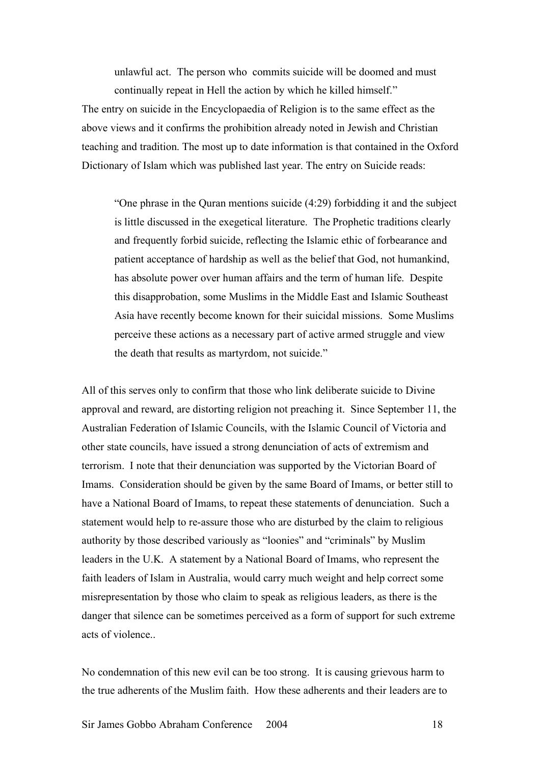unlawful act. The person who commits suicide will be doomed and must continually repeat in Hell the action by which he killed himself."

The entry on suicide in the Encyclopaedia of Religion is to the same effect as the above views and it confirms the prohibition already noted in Jewish and Christian teaching and tradition. The most up to date information is that contained in the Oxford Dictionary of Islam which was published last year. The entry on Suicide reads:

"One phrase in the Quran mentions suicide (4:29) forbidding it and the subject is little discussed in the exegetical literature. The Prophetic traditions clearly and frequently forbid suicide, reflecting the Islamic ethic of forbearance and patient acceptance of hardship as well as the belief that God, not humankind, has absolute power over human affairs and the term of human life. Despite this disapprobation, some Muslims in the Middle East and Islamic Southeast Asia have recently become known for their suicidal missions. Some Muslims perceive these actions as a necessary part of active armed struggle and view the death that results as martyrdom, not suicide."

All of this serves only to confirm that those who link deliberate suicide to Divine approval and reward, are distorting religion not preaching it. Since September 11, the Australian Federation of Islamic Councils, with the Islamic Council of Victoria and other state councils, have issued a strong denunciation of acts of extremism and terrorism. I note that their denunciation was supported by the Victorian Board of Imams. Consideration should be given by the same Board of Imams, or better still to have a National Board of Imams, to repeat these statements of denunciation. Such a statement would help to re-assure those who are disturbed by the claim to religious authority by those described variously as "loonies" and "criminals" by Muslim leaders in the U.K. A statement by a National Board of Imams, who represent the faith leaders of Islam in Australia, would carry much weight and help correct some misrepresentation by those who claim to speak as religious leaders, as there is the danger that silence can be sometimes perceived as a form of support for such extreme acts of violence..

No condemnation of this new evil can be too strong. It is causing grievous harm to the true adherents of the Muslim faith. How these adherents and their leaders are to